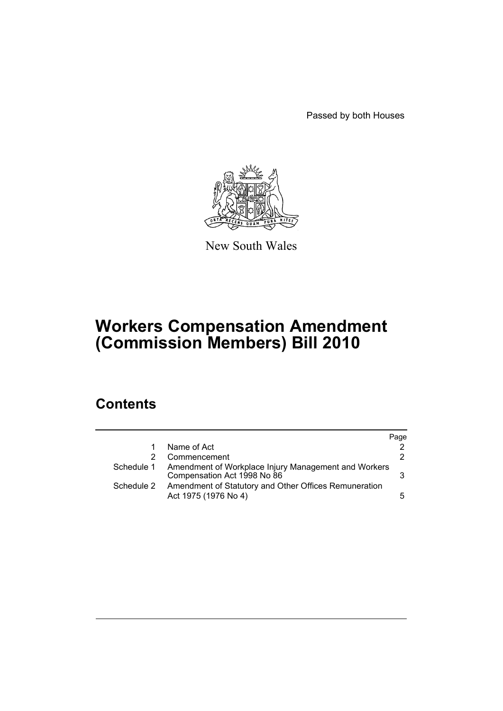Passed by both Houses



New South Wales

# **Workers Compensation Amendment (Commission Members) Bill 2010**

# **Contents**

|            |                                                                                     | Page |
|------------|-------------------------------------------------------------------------------------|------|
|            | Name of Act                                                                         |      |
|            | Commencement                                                                        | 2    |
| Schedule 1 | Amendment of Workplace Injury Management and Workers<br>Compensation Act 1998 No 86 | 3    |
| Schedule 2 | Amendment of Statutory and Other Offices Remuneration<br>Act 1975 (1976 No 4)       | 5.   |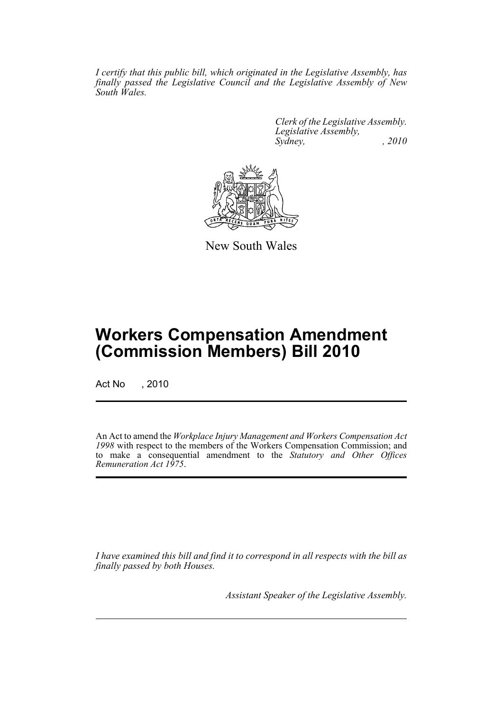*I certify that this public bill, which originated in the Legislative Assembly, has finally passed the Legislative Council and the Legislative Assembly of New South Wales.*

> *Clerk of the Legislative Assembly. Legislative Assembly, Sydney, , 2010*



New South Wales

# **Workers Compensation Amendment (Commission Members) Bill 2010**

Act No , 2010

An Act to amend the *Workplace Injury Management and Workers Compensation Act 1998* with respect to the members of the Workers Compensation Commission; and to make a consequential amendment to the *Statutory and Other Offices Remuneration Act 1975*.

*I have examined this bill and find it to correspond in all respects with the bill as finally passed by both Houses.*

*Assistant Speaker of the Legislative Assembly.*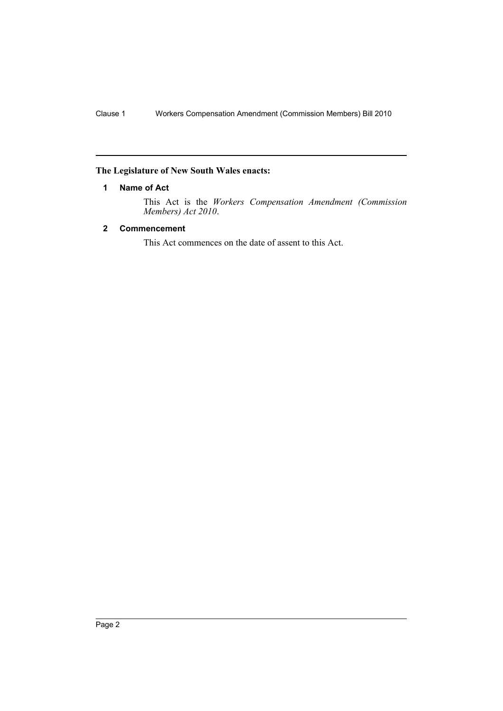# <span id="page-2-0"></span>**The Legislature of New South Wales enacts:**

# **1 Name of Act**

This Act is the *Workers Compensation Amendment (Commission Members) Act 2010*.

# <span id="page-2-1"></span>**2 Commencement**

This Act commences on the date of assent to this Act.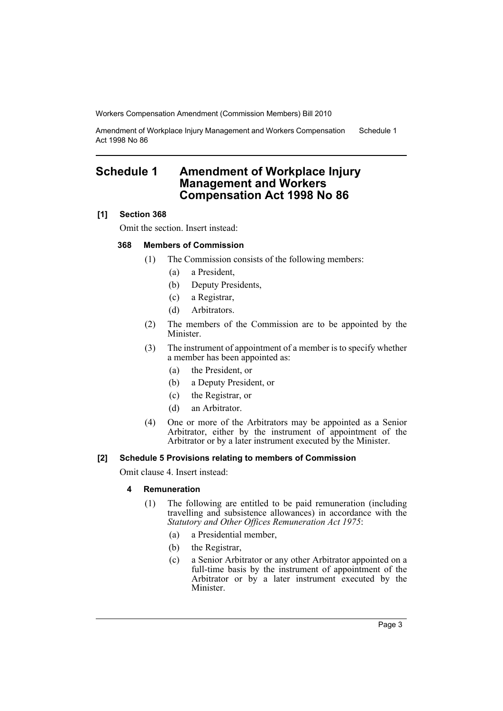Workers Compensation Amendment (Commission Members) Bill 2010

Amendment of Workplace Injury Management and Workers Compensation Act 1998 No 86 Schedule 1

# <span id="page-3-0"></span>**Schedule 1 Amendment of Workplace Injury Management and Workers Compensation Act 1998 No 86**

# **[1] Section 368**

Omit the section. Insert instead:

# **368 Members of Commission**

- (1) The Commission consists of the following members:
	- (a) a President,
	- (b) Deputy Presidents,
	- (c) a Registrar,
	- (d) Arbitrators.
- (2) The members of the Commission are to be appointed by the Minister.
- (3) The instrument of appointment of a member is to specify whether a member has been appointed as:
	- (a) the President, or
	- (b) a Deputy President, or
	- (c) the Registrar, or
	- (d) an Arbitrator.
- (4) One or more of the Arbitrators may be appointed as a Senior Arbitrator, either by the instrument of appointment of the Arbitrator or by a later instrument executed by the Minister.

#### **[2] Schedule 5 Provisions relating to members of Commission**

Omit clause 4. Insert instead:

#### **4 Remuneration**

- (1) The following are entitled to be paid remuneration (including travelling and subsistence allowances) in accordance with the *Statutory and Other Offices Remuneration Act 1975*:
	- (a) a Presidential member,
	- (b) the Registrar,
	- (c) a Senior Arbitrator or any other Arbitrator appointed on a full-time basis by the instrument of appointment of the Arbitrator or by a later instrument executed by the Minister.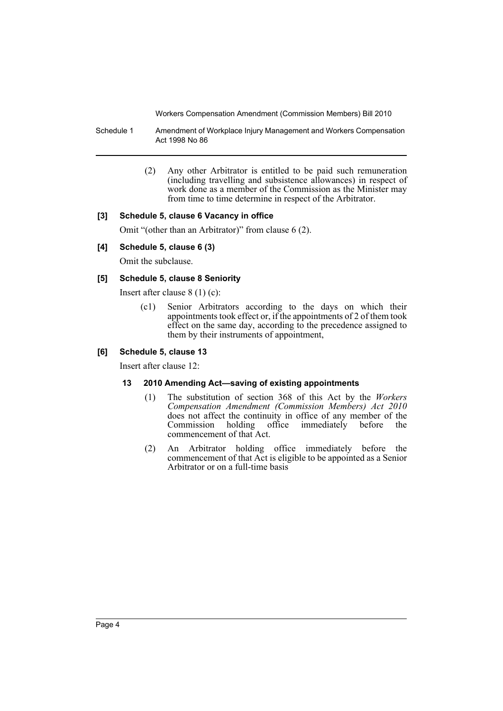Workers Compensation Amendment (Commission Members) Bill 2010

Schedule 1 Amendment of Workplace Injury Management and Workers Compensation Act 1998 No 86

> (2) Any other Arbitrator is entitled to be paid such remuneration (including travelling and subsistence allowances) in respect of work done as a member of the Commission as the Minister may from time to time determine in respect of the Arbitrator.

## **[3] Schedule 5, clause 6 Vacancy in office**

Omit "(other than an Arbitrator)" from clause 6 (2).

## **[4] Schedule 5, clause 6 (3)**

Omit the subclause.

## **[5] Schedule 5, clause 8 Seniority**

Insert after clause 8 (1) (c):

(c1) Senior Arbitrators according to the days on which their appointments took effect or, if the appointments of 2 of them took effect on the same day, according to the precedence assigned to them by their instruments of appointment,

#### **[6] Schedule 5, clause 13**

Insert after clause 12:

## **13 2010 Amending Act—saving of existing appointments**

- (1) The substitution of section 368 of this Act by the *Workers Compensation Amendment (Commission Members) Act 2010* does not affect the continuity in office of any member of the Commission holding office immediately before the Commission holding office commencement of that Act.
- (2) An Arbitrator holding office immediately before the commencement of that Act is eligible to be appointed as a Senior Arbitrator or on a full-time basis